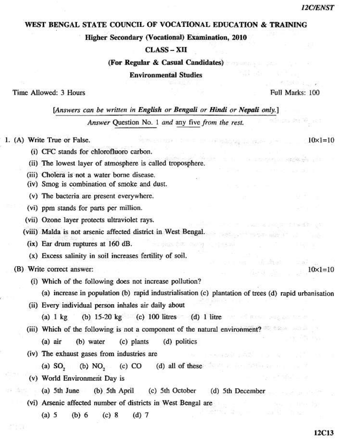$10 \times 1 = 10$ 

 $10 \times 1 = 10$ 

## WEST BENGAL STATE COUNCIL OF VOCATIONAL EDUCATION & TRAINING

Higher Secondary (Vocational) Examination, 2010

## $$

(For Regular & Casual Candidates)

**Environmental Studies** 

Time Allowed: 3 Hours

Full Marks: 100

[Answers can be written in English or Bengali or Hindi or Nepali only.]

Answer Question No. 1 and any five from the rest.

1. (A) Write True or False.

- (i) CFC stands for chlorofluoro carbon.
- (ii) The lowest layer of atmosphere is called troposphere.
- (iii) Cholera is not a water borne disease.
- (iv) Smog is combination of smoke and dust.
- (v) The bacteria are present everywhere.
- (vi) ppm stands for parts per million.
- (vii) Ozone layer protects ultraviolet rays.
- (viii) Malda is not arsenic affected district in West Bengal.
	- (ix) Ear drum ruptures at 160 dB.
	- (x) Excess salinity in soil increases fertility of soil.
- (B) Write correct answer:
	- (i) Which of the following does not increase pollution?
		- (a) increase in population (b) rapid industrialisation (c) plantation of trees (d) rapid urbanisation
	- (ii) Every individual person inhales air daily about
		- (b)  $15-20 \text{ kg}$  (c)  $100 \text{ litres}$  (d)  $1 \text{ litre}$  $(a)$  1  $kg$
	- (iii) Which of the following is not a component of the natural environment?
		- (d) politics  $(a)$  air (b) water (c) plants
	- (iv) The exhaust gases from industries are
		- $(a)$  SO<sub>2</sub>  $(b) NO<sub>2</sub>$  $(c)$  CO  $(d)$  all of these
	- (v) World Environment Day is
		- $(a)$  5th June (b) 5th April (c) 5th October (d) 5th December
	- (vi) Arsenic affected number of districts in West Bengal are
		- $(a)$  5  $(b) 6$  $(c)$  8  $(d)$  7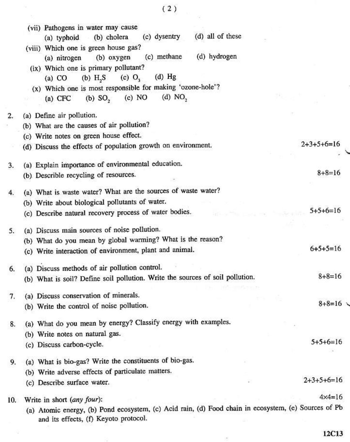|     | (vii) Pathogens in water may cause                                                                                                            |                   |
|-----|-----------------------------------------------------------------------------------------------------------------------------------------------|-------------------|
|     | (c) dysentry<br>(d) all of these<br>(a) typhoid (b) cholera                                                                                   |                   |
|     | (viii) Which one is green house gas?                                                                                                          |                   |
|     | (d) hydrogen<br>(c) methane<br>(b) oxygen<br>(a) nitrogen                                                                                     |                   |
|     | (ix) Which one is primary pollutant?                                                                                                          |                   |
|     | $(d)$ Hg<br>$(b)$ H <sub>2</sub> S<br>$(c)$ $O3$<br>(a) CO                                                                                    |                   |
|     | (x) Which one is most responsible for making 'ozone-hole'?                                                                                    |                   |
|     | (d) $NO2$<br>(c) NO<br>$(b)$ SO <sub>2</sub><br>$(a)$ CFC                                                                                     |                   |
| 2.  | (a) Define air pollution.                                                                                                                     |                   |
|     | (b) What are the causes of air pollution?                                                                                                     |                   |
|     | (c) Write notes on green house effect.                                                                                                        |                   |
|     | (d) Discuss the effects of population growth on environment.                                                                                  | $2+3+5+6=16$      |
|     |                                                                                                                                               |                   |
| 3.  | (a) Explain importance of environmental education.                                                                                            | $8+8=16$          |
|     | (b) Describle recycling of resources.                                                                                                         |                   |
| 4.  | (a) What is waste water? What are the sources of waste water?                                                                                 |                   |
|     | (b) Write about biological pollutants of water.                                                                                               |                   |
|     | (c) Describe natural recovery process of water bodies.                                                                                        | $5+5+6=16$        |
| 5.  | (a) Discuss main sources of noise pollution.                                                                                                  |                   |
|     | (b) What do you mean by global warming? What is the reason?                                                                                   |                   |
|     | (c) Write interaction of environment, plant and animal.                                                                                       | $6+5+5=16$        |
| 6.  | (a) Discuss methods of air pollution control.                                                                                                 |                   |
|     | (b) What is soil? Define soil pollution. Write the sources of soil pollution.                                                                 | $8 + 8 = 16$      |
| 7.  | (a) Discuss conservation of minerals.                                                                                                         |                   |
|     | (b) Write the control of noise pollution.                                                                                                     | $8 + 8 = 16$      |
| 8.  | (a) What do you mean by energy? Classify energy with examples.                                                                                |                   |
|     | (b) Write notes on natural gas.                                                                                                               |                   |
|     | (c) Discuss carbon-cycle.                                                                                                                     | $5+5+6=16$        |
| 9.  | (a) What is bio-gas? Write the constituents of bio-gas.                                                                                       |                   |
|     | (b) Write adverse effects of particulate matters.                                                                                             |                   |
|     | (c) Describe surface water.                                                                                                                   | $2+3+5+6=16$      |
| 10. | Write in short (any four):                                                                                                                    | $4 \times 4 = 16$ |
|     | (a) Atomic energy, (b) Pond ecosystem, (c) Acid rain, (d) Food chain in ecosystem, (e) Sources of Pb<br>and its effects, (f) Keyoto protocol. |                   |
|     |                                                                                                                                               |                   |

澎

 $12C13$ 

 $(2)$ 

 $\gamma_{\vec{a}}$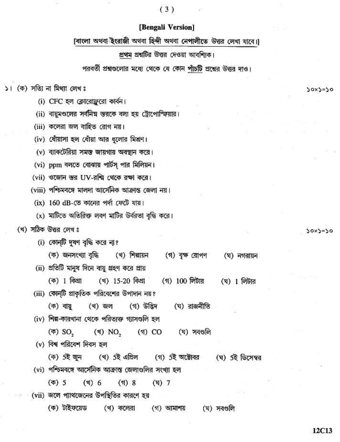## $(3)$

## [Bengali Version]

[বাংলা অথবা ইংরাজী অথবা হিন্দী অথবা নেপালীতে উত্তর লেখা যাবে।]

প্রথম প্রশ্নটির উত্তর দেওয়া আবশ্যিক।

পরবর্তী প্রশ্নগুলোর মধ্যে থেকে যে কোন পাঁচটি প্রশ্নের উত্তর দাও।

১। (ক) সত্যি না মিথ্যা লেখঃ

- (i) CFC হল ক্লোরোফ্লরো কার্বন।
- (ii) বায়ুমণ্ডলের সর্বনিম্ন স্তরকে বলা হয় ট্রোপোস্ফিয়ার।
- (iii) কলেরা জল বাহিত রোগ নয়।
- (iv) ধোঁয়াসা হল ধোঁয়া আর ধলোর মিশ্রণ।
- (v) ব্যাকটেরিয়া সমস্ত জায়গায় অবস্থান করে।
- (vi) ppm বলতে বোঝায় পার্টস পার মিলিয়ন।
- (vii) ওজোন স্তর UV-রশ্মি থেকে রক্ষা করে।
- (viii) পশ্চিমবঙ্গে মালদা আর্সেনিক আক্রান্ত জেলা নয়।
	- $(ix)$  160 dB-তে কানের পর্দা ফেটে যায়।
	- (x) মাটিতে অতিরিক্ত লবণ মাটির উর্বরতা বৃদ্ধি করে।
- (খ) সঠিক উত্তর লেখ ঃ
	- (i) কোন্টি দূষণ বৃদ্ধি করে না?
	- (ক) জনসংখ্যা বৃদ্ধি (খ) শিল্পায়ন (গ) বৃক্ষ রোপণ (ঘ) নগরায়ন
	- (ii) প্রতিটি মানুষ দিনে বায়ু গ্রহণ করে প্রায়
		- (ক) I কিগ্ৰা  $(1)$  100 লিটার (খ) 15-20 কিগ্ৰা (ঘ)  $1$  লিটার
	- (iii) কোন্টি প্রাকৃতিক পরিবেশের উপাদান নয়?
		- (ক) বায়ু (খ) জল (গ) উদ্ভিদ (ঘ) রাজনীতি
	- (iv) শিল্প-কারখানা থেকে পরিত্যক্ত গ্যাসগুলি হল
		- (ক) SO,  $(3) NO, (5) CO$ (ঘ) সবগুলি
	- (v) বিশ্ব পরিবেশ দিবস হল
		- (খ) 5ই এপ্ৰিল (ক) 5ই জুন (গ) 5ই অক্টোবর (ঘ) 5ই ডিসেম্বর
	- (vi) পশ্চিমবঙ্গে আর্সেনিক আক্রান্ত জেলাগুলির সংখ্যা হল
		- $(\overline{\Phi})$  5  $(3)$  6  $(51)$  8  $(\mathbf{F})$  7
	- (vii) জলে প্যাথজেনের উপস্থিতির কারণে হয়
		- (ক) টাইফয়েড (খ) কলেরা (গ) আমাশয় (ঘ) সবগুলি

 $50x5=50$ 

 $30x3=50$